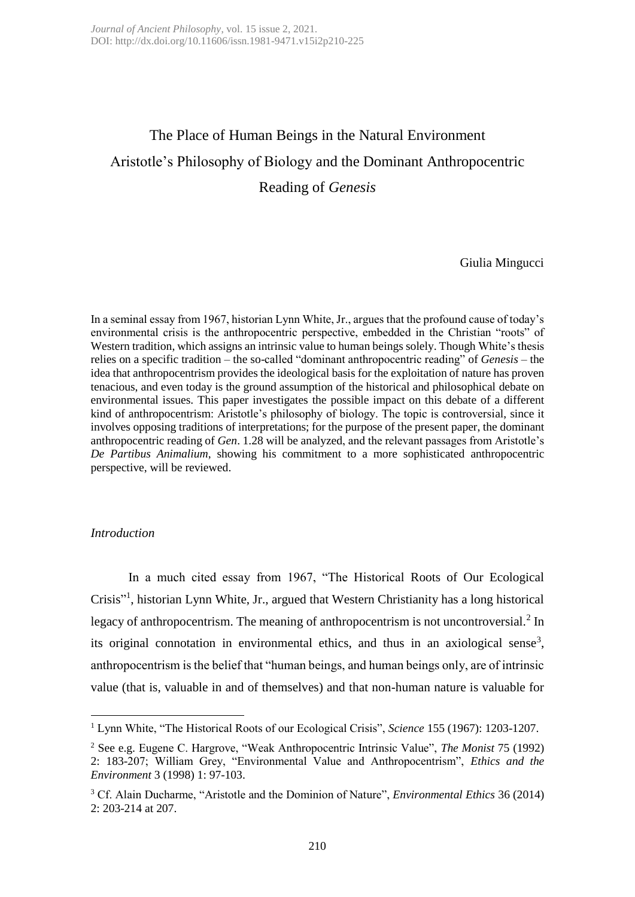# The Place of Human Beings in the Natural Environment Aristotle's Philosophy of Biology and the Dominant Anthropocentric Reading of *Genesis*

Giulia Mingucci

In a seminal essay from 1967, historian Lynn White, Jr., argues that the profound cause of today's environmental crisis is the anthropocentric perspective, embedded in the Christian "roots" of Western tradition, which assigns an intrinsic value to human beings solely. Though White's thesis relies on a specific tradition – the so-called "dominant anthropocentric reading" of *Genesis* – the idea that anthropocentrism provides the ideological basis for the exploitation of nature has proven tenacious, and even today is the ground assumption of the historical and philosophical debate on environmental issues. This paper investigates the possible impact on this debate of a different kind of anthropocentrism: Aristotle's philosophy of biology. The topic is controversial, since it involves opposing traditions of interpretations; for the purpose of the present paper, the dominant anthropocentric reading of *Gen*. 1.28 will be analyzed, and the relevant passages from Aristotle's *De Partibus Animalium*, showing his commitment to a more sophisticated anthropocentric perspective, will be reviewed.

## *Introduction*

**.** 

In a much cited essay from 1967, "The Historical Roots of Our Ecological Crisis" 1 , historian Lynn White, Jr., argued that Western Christianity has a long historical legacy of anthropocentrism. The meaning of anthropocentrism is not uncontroversial. $2$  In its original connotation in environmental ethics, and thus in an axiological sense<sup>3</sup>, anthropocentrism is the belief that "human beings, and human beings only, are of intrinsic value (that is, valuable in and of themselves) and that non-human nature is valuable for

<sup>1</sup> Lynn White, "The Historical Roots of our Ecological Crisis", *Science* 155 (1967): 1203-1207.

<sup>2</sup> See e.g. Eugene C. Hargrove, "Weak Anthropocentric Intrinsic Value", *The Monist* 75 (1992) 2: 183-207; William Grey, "Environmental Value and Anthropocentrism", *Ethics and the Environment* 3 (1998) 1: 97-103.

<sup>3</sup> Cf. Alain Ducharme, "Aristotle and the Dominion of Nature", *Environmental Ethics* 36 (2014) 2: 203-214 at 207.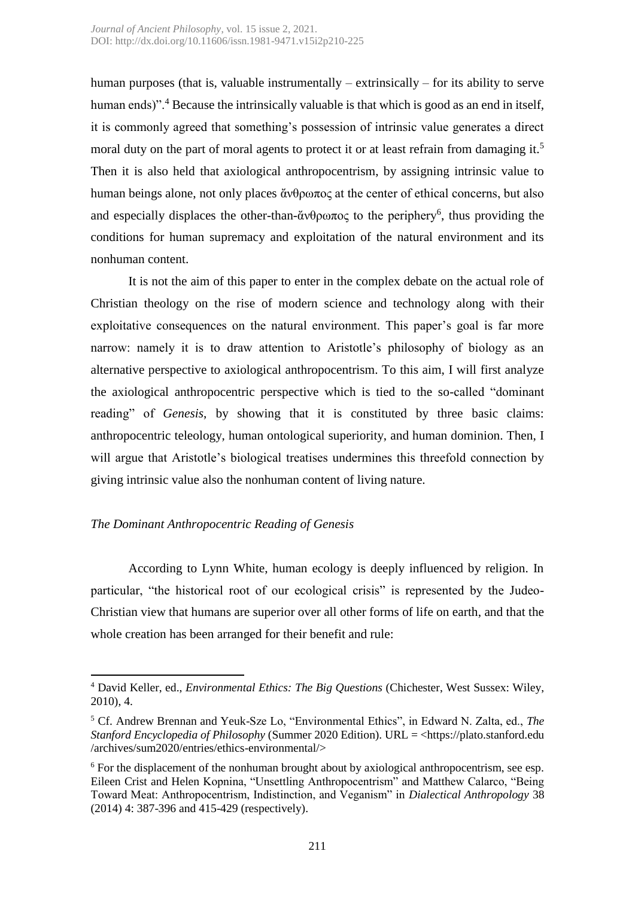human purposes (that is, valuable instrumentally – extrinsically – for its ability to serve human ends)".<sup>4</sup> Because the intrinsically valuable is that which is good as an end in itself, it is commonly agreed that something's possession of intrinsic value generates a direct moral duty on the part of moral agents to protect it or at least refrain from damaging it.<sup>5</sup> Then it is also held that axiological anthropocentrism, by assigning intrinsic value to human beings alone, not only places ἄνθρωπος at the center of ethical concerns, but also and especially displaces the other-than-άνθρωπος to the periphery<sup>6</sup>, thus providing the conditions for human supremacy and exploitation of the natural environment and its nonhuman content.

It is not the aim of this paper to enter in the complex debate on the actual role of Christian theology on the rise of modern science and technology along with their exploitative consequences on the natural environment. This paper's goal is far more narrow: namely it is to draw attention to Aristotle's philosophy of biology as an alternative perspective to axiological anthropocentrism. To this aim, I will first analyze the axiological anthropocentric perspective which is tied to the so-called "dominant reading" of *Genesis*, by showing that it is constituted by three basic claims: anthropocentric teleology, human ontological superiority, and human dominion. Then, I will argue that Aristotle's biological treatises undermines this threefold connection by giving intrinsic value also the nonhuman content of living nature.

# *The Dominant Anthropocentric Reading of Genesis*

 $\overline{a}$ 

According to Lynn White, human ecology is deeply influenced by religion. In particular, "the historical root of our ecological crisis" is represented by the Judeo-Christian view that humans are superior over all other forms of life on earth, and that the whole creation has been arranged for their benefit and rule:

<sup>4</sup> David Keller, ed., *Environmental Ethics: The Big Questions* (Chichester, West Sussex: Wiley, 2010), 4.

<sup>5</sup> Cf. Andrew Brennan and Yeuk-Sze Lo, "Environmental Ethics", in Edward N. Zalta, ed., *The Stanford Encyclopedia of Philosophy* (Summer 2020 Edition). URL = <https://plato.stanford.edu /archives/sum2020/entries/ethics-environmental/>

 $6$  For the displacement of the nonhuman brought about by axiological anthropocentrism, see esp. Eileen Crist and Helen Kopnina, "Unsettling Anthropocentrism" and Matthew Calarco, "Being Toward Meat: Anthropocentrism, Indistinction, and Veganism" in *Dialectical Anthropology* 38 (2014) 4: 387-396 and 415-429 (respectively).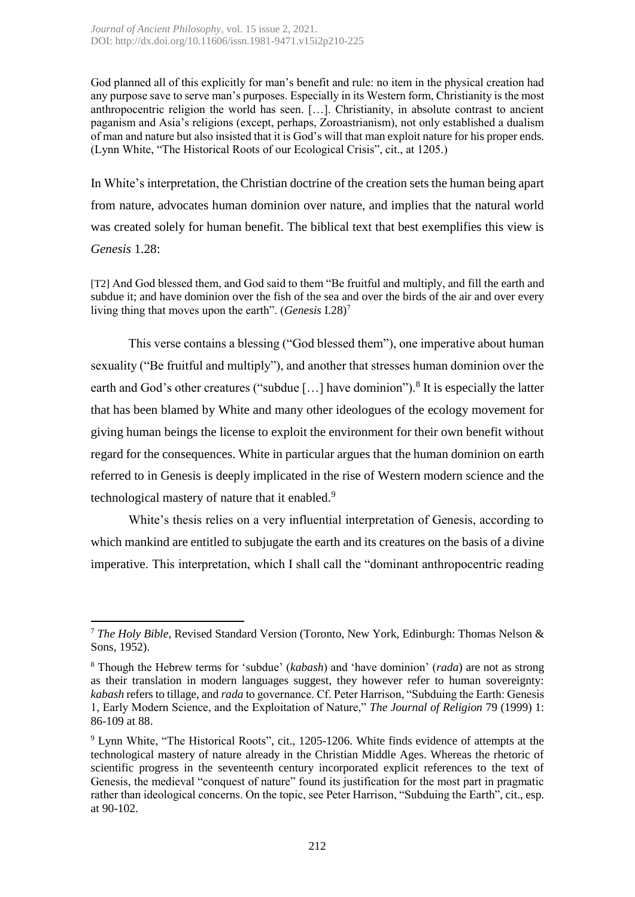God planned all of this explicitly for man's benefit and rule: no item in the physical creation had any purpose save to serve man's purposes. Especially in its Western form, Christianity is the most anthropocentric religion the world has seen. […]. Christianity, in absolute contrast to ancient paganism and Asia's religions (except, perhaps, Zoroastrianism), not only established a dualism of man and nature but also insisted that it is God's will that man exploit nature for his proper ends. (Lynn White, "The Historical Roots of our Ecological Crisis", cit., at 1205.)

In White's interpretation, the Christian doctrine of the creation sets the human being apart from nature, advocates human dominion over nature, and implies that the natural world was created solely for human benefit. The biblical text that best exemplifies this view is *Genesis* 1.28:

[T2] And God blessed them, and God said to them "Be fruitful and multiply, and fill the earth and subdue it; and have dominion over the fish of the sea and over the birds of the air and over every living thing that moves upon the earth". (*Genesis* I.28)<sup>7</sup>

This verse contains a blessing ("God blessed them"), one imperative about human sexuality ("Be fruitful and multiply"), and another that stresses human dominion over the earth and God's other creatures ("subdue [...] have dominion").<sup>8</sup> It is especially the latter that has been blamed by White and many other ideologues of the ecology movement for giving human beings the license to exploit the environment for their own benefit without regard for the consequences. White in particular argues that the human dominion on earth referred to in Genesis is deeply implicated in the rise of Western modern science and the technological mastery of nature that it enabled.<sup>9</sup>

White's thesis relies on a very influential interpretation of Genesis, according to which mankind are entitled to subjugate the earth and its creatures on the basis of a divine imperative. This interpretation, which I shall call the "dominant anthropocentric reading

**<sup>.</sup>** <sup>7</sup> *The Holy Bible*, Revised Standard Version (Toronto, New York, Edinburgh: Thomas Nelson & Sons, 1952).

<sup>8</sup> Though the Hebrew terms for 'subdue' (*kabash*) and 'have dominion' (*rada*) are not as strong as their translation in modern languages suggest, they however refer to human sovereignty: *kabash* refers to tillage, and *rada* to governance. Cf. Peter Harrison, "Subduing the Earth: Genesis 1, Early Modern Science, and the Exploitation of Nature," *The Journal of Religion* 79 (1999) 1: 86-109 at 88.

<sup>&</sup>lt;sup>9</sup> Lynn White, "The Historical Roots", cit., 1205-1206. White finds evidence of attempts at the technological mastery of nature already in the Christian Middle Ages. Whereas the rhetoric of scientific progress in the seventeenth century incorporated explicit references to the text of Genesis, the medieval "conquest of nature" found its justification for the most part in pragmatic rather than ideological concerns. On the topic, see Peter Harrison, "Subduing the Earth", cit., esp. at 90-102.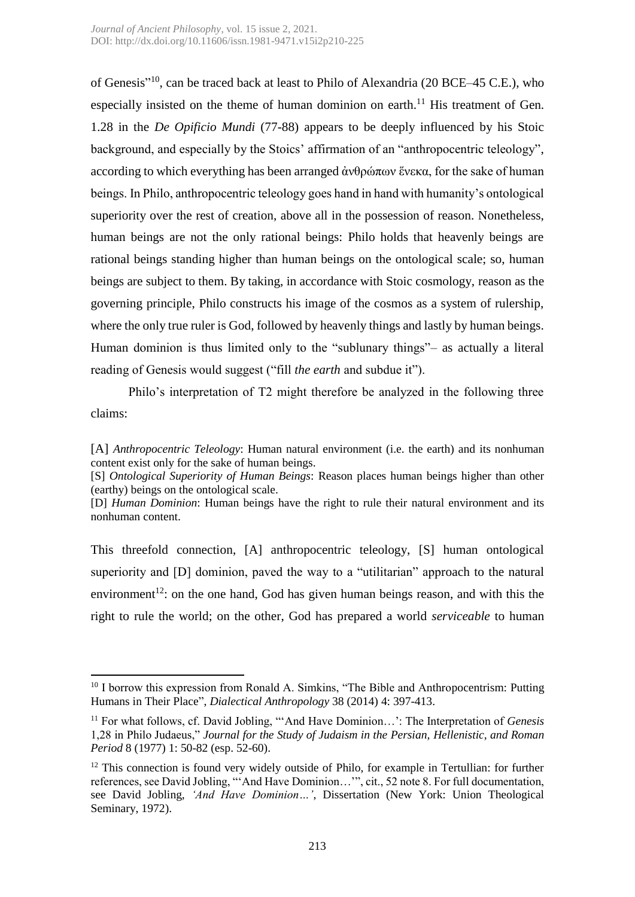of Genesis"<sup>10</sup>, can be traced back at least to Philo of Alexandria (20 BCE–45 C.E.), who especially insisted on the theme of human dominion on earth.<sup>11</sup> His treatment of Gen. 1.28 in the *De Opificio Mundi* (77-88) appears to be deeply influenced by his Stoic background, and especially by the Stoics' affirmation of an "anthropocentric teleology", according to which everything has been arranged ἀνθρώπων ἕνεκα, for the sake of human beings. In Philo, anthropocentric teleology goes hand in hand with humanity's ontological superiority over the rest of creation, above all in the possession of reason. Nonetheless, human beings are not the only rational beings: Philo holds that heavenly beings are rational beings standing higher than human beings on the ontological scale; so, human beings are subject to them. By taking, in accordance with Stoic cosmology, reason as the governing principle, Philo constructs his image of the cosmos as a system of rulership, where the only true ruler is God, followed by heavenly things and lastly by human beings. Human dominion is thus limited only to the "sublunary things"– as actually a literal reading of Genesis would suggest ("fill *the earth* and subdue it").

Philo's interpretation of T2 might therefore be analyzed in the following three claims:

[A] *Anthropocentric Teleology*: Human natural environment (i.e. the earth) and its nonhuman content exist only for the sake of human beings.

[S] *Ontological Superiority of Human Beings*: Reason places human beings higher than other (earthy) beings on the ontological scale.

[D] *Human Dominion*: Human beings have the right to rule their natural environment and its nonhuman content.

This threefold connection, [A] anthropocentric teleology, [S] human ontological superiority and [D] dominion, paved the way to a "utilitarian" approach to the natural environment<sup>12</sup>: on the one hand, God has given human beings reason, and with this the right to rule the world; on the other, God has prepared a world *serviceable* to human

 $\overline{a}$ 

<sup>&</sup>lt;sup>10</sup> I borrow this expression from Ronald A. Simkins, "The Bible and Anthropocentrism: Putting Humans in Their Place", *Dialectical Anthropology* 38 (2014) 4: 397-413.

<sup>11</sup> For what follows, cf. David Jobling, "'And Have Dominion…': The Interpretation of *Genesis* 1,28 in Philo Judaeus," *Journal for the Study of Judaism in the Persian, Hellenistic, and Roman Period* 8 (1977) 1: 50-82 (esp. 52-60).

 $12$  This connection is found very widely outside of Philo, for example in Tertullian: for further references, see David Jobling, "'And Have Dominion…'", cit., 52 note 8. For full documentation, see David Jobling, *'And Have Dominion…'*, Dissertation (New York: Union Theological Seminary, 1972).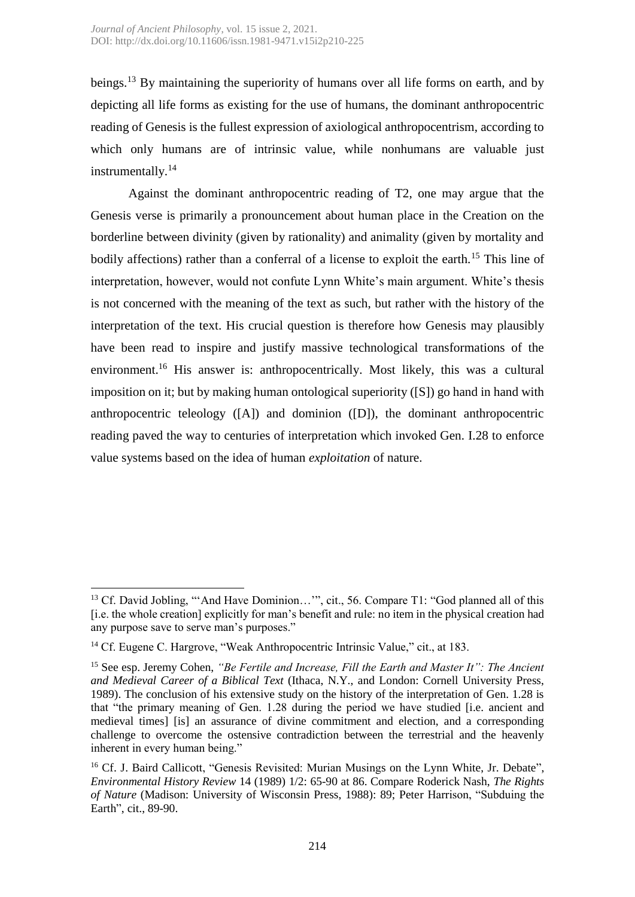beings.<sup>13</sup> By maintaining the superiority of humans over all life forms on earth, and by depicting all life forms as existing for the use of humans, the dominant anthropocentric reading of Genesis is the fullest expression of axiological anthropocentrism, according to which only humans are of intrinsic value, while nonhumans are valuable just instrumentally. 14

Against the dominant anthropocentric reading of T2, one may argue that the Genesis verse is primarily a pronouncement about human place in the Creation on the borderline between divinity (given by rationality) and animality (given by mortality and bodily affections) rather than a conferral of a license to exploit the earth.<sup>15</sup> This line of interpretation, however, would not confute Lynn White's main argument. White's thesis is not concerned with the meaning of the text as such, but rather with the history of the interpretation of the text. His crucial question is therefore how Genesis may plausibly have been read to inspire and justify massive technological transformations of the environment.<sup>16</sup> His answer is: anthropocentrically. Most likely, this was a cultural imposition on it; but by making human ontological superiority ([S]) go hand in hand with anthropocentric teleology ([A]) and dominion ([D]), the dominant anthropocentric reading paved the way to centuries of interpretation which invoked Gen. I.28 to enforce value systems based on the idea of human *exploitation* of nature.

**.** 

<sup>&</sup>lt;sup>13</sup> Cf. David Jobling, "'And Have Dominion...'", cit., 56. Compare T1: "God planned all of this [i.e. the whole creation] explicitly for man's benefit and rule: no item in the physical creation had any purpose save to serve man's purposes."

 $14$  Cf. Eugene C. Hargrove, "Weak Anthropocentric Intrinsic Value," cit., at 183.

<sup>15</sup> See esp. Jeremy Cohen, *"Be Fertile and Increase, Fill the Earth and Master It": The Ancient and Medieval Career of a Biblical Text* (Ithaca, N.Y., and London: Cornell University Press, 1989). The conclusion of his extensive study on the history of the interpretation of Gen. 1.28 is that "the primary meaning of Gen. 1.28 during the period we have studied [i.e. ancient and medieval times] [is] an assurance of divine commitment and election, and a corresponding challenge to overcome the ostensive contradiction between the terrestrial and the heavenly inherent in every human being."

<sup>&</sup>lt;sup>16</sup> Cf. J. Baird Callicott, "Genesis Revisited: Murian Musings on the Lynn White, Jr. Debate", *Environmental History Review* 14 (1989) 1/2: 65-90 at 86. Compare Roderick Nash, *The Rights of Nature* (Madison: University of Wisconsin Press, 1988): 89; Peter Harrison, "Subduing the Earth", cit., 89-90.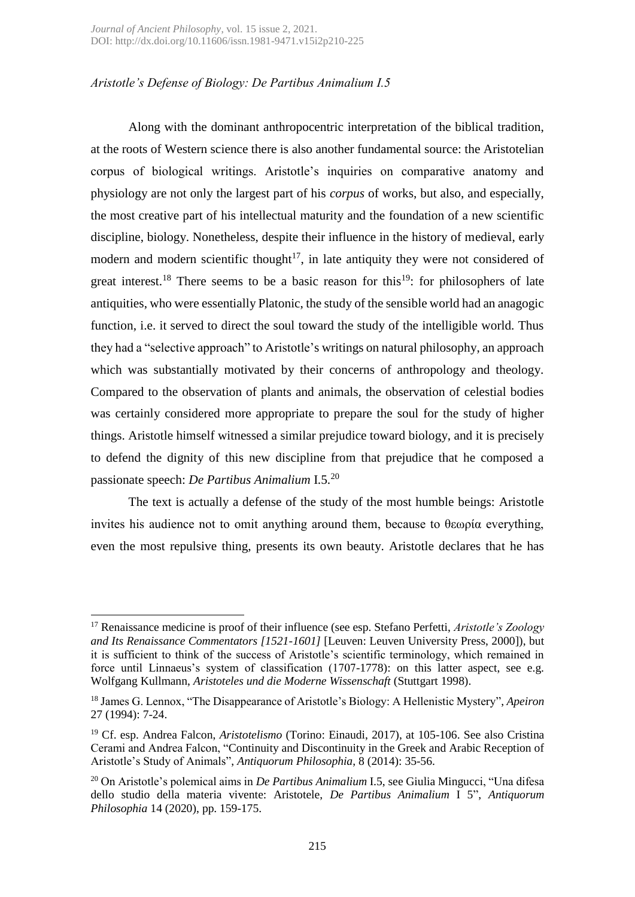# *Aristotle's Defense of Biology: De Partibus Animalium I.5*

Along with the dominant anthropocentric interpretation of the biblical tradition, at the roots of Western science there is also another fundamental source: the Aristotelian corpus of biological writings. Aristotle's inquiries on comparative anatomy and physiology are not only the largest part of his *corpus* of works, but also, and especially, the most creative part of his intellectual maturity and the foundation of a new scientific discipline, biology. Nonetheless, despite their influence in the history of medieval, early modern and modern scientific thought<sup>17</sup>, in late antiquity they were not considered of great interest.<sup>18</sup> There seems to be a basic reason for this<sup>19</sup>: for philosophers of late antiquities, who were essentially Platonic, the study of the sensible world had an anagogic function, i.e. it served to direct the soul toward the study of the intelligible world. Thus they had a "selective approach" to Aristotle's writings on natural philosophy, an approach which was substantially motivated by their concerns of anthropology and theology. Compared to the observation of plants and animals, the observation of celestial bodies was certainly considered more appropriate to prepare the soul for the study of higher things. Aristotle himself witnessed a similar prejudice toward biology, and it is precisely to defend the dignity of this new discipline from that prejudice that he composed a passionate speech: *De Partibus Animalium* I.5. 20

The text is actually a defense of the study of the most humble beings: Aristotle invites his audience not to omit anything around them, because to θεωρία everything, even the most repulsive thing, presents its own beauty. Aristotle declares that he has

**.** 

<sup>17</sup> Renaissance medicine is proof of their influence (see esp. Stefano Perfetti, *Aristotle's Zoology and Its Renaissance Commentators [1521-1601]* [Leuven: Leuven University Press, 2000]), but it is sufficient to think of the success of Aristotle's scientific terminology, which remained in force until Linnaeus's system of classification (1707-1778): on this latter aspect, see e.g. Wolfgang Kullmann, *Aristoteles und die Moderne Wissenschaft* (Stuttgart 1998).

<sup>18</sup> James G. Lennox, "The Disappearance of Aristotle's Biology: A Hellenistic Mystery", *Apeiron* 27 (1994): 7-24.

<sup>19</sup> Cf. esp. Andrea Falcon, *Aristotelismo* (Torino: Einaudi, 2017), at 105-106. See also Cristina Cerami and Andrea Falcon, "Continuity and Discontinuity in the Greek and Arabic Reception of Aristotle's Study of Animals", *Antiquorum Philosophia*, 8 (2014): 35-56.

<sup>20</sup> On Aristotle's polemical aims in *De Partibus Animalium* I.5, see Giulia Mingucci, "Una difesa dello studio della materia vivente: Aristotele, *De Partibus Animalium* I 5", *Antiquorum Philosophia* 14 (2020), pp. 159-175.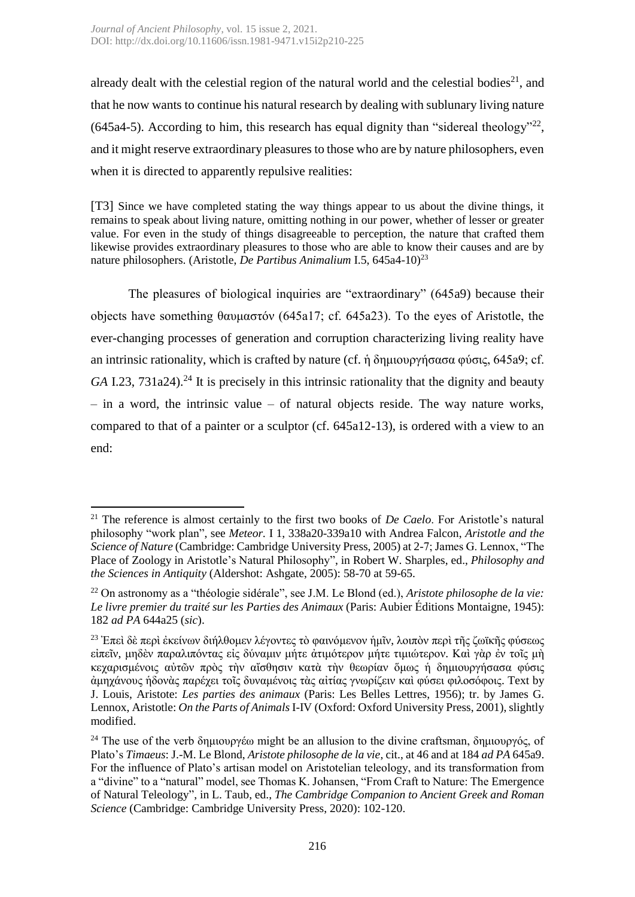already dealt with the celestial region of the natural world and the celestial bodies<sup>21</sup>, and that he now wants to continue his natural research by dealing with sublunary living nature  $(645a4-5)$ . According to him, this research has equal dignity than "sidereal theology"<sup>22</sup>, and it might reserve extraordinary pleasures to those who are by nature philosophers, even when it is directed to apparently repulsive realities:

[T3] Since we have completed stating the way things appear to us about the divine things, it remains to speak about living nature, omitting nothing in our power, whether of lesser or greater value. For even in the study of things disagreeable to perception, the nature that crafted them likewise provides extraordinary pleasures to those who are able to know their causes and are by nature philosophers. (Aristotle, *De Partibus Animalium* I.5, 645a4-10) 23

The pleasures of biological inquiries are "extraordinary" (645a9) because their objects have something θαυμαστόν (645a17; cf. 645a23). To the eyes of Aristotle, the ever-changing processes of generation and corruption characterizing living reality have an intrinsic rationality, which is crafted by nature (cf. ἡ δημιουργήσασα φύσις, 645a9; cf.  $GA$  I.23,  $731a24$ ).<sup>24</sup> It is precisely in this intrinsic rationality that the dignity and beauty  $-$  in a word, the intrinsic value  $-$  of natural objects reside. The way nature works, compared to that of a painter or a sculptor (cf. 645a12-13), is ordered with a view to an end:

**<sup>.</sup>** <sup>21</sup> The reference is almost certainly to the first two books of *De Caelo*. For Aristotle's natural philosophy "work plan", see *Meteor.* I 1, 338a20-339a10 with Andrea Falcon, *Aristotle and the Science of Nature* (Cambridge: Cambridge University Press, 2005) at 2-7; James G. Lennox, "The Place of Zoology in Aristotle's Natural Philosophy", in Robert W. Sharples, ed., *Philosophy and the Sciences in Antiquity* (Aldershot: Ashgate, 2005): 58-70 at 59-65.

<sup>22</sup> On astronomy as a "théologie sidérale", see J.M. Le Blond (ed.), *Aristote philosophe de la vie: Le livre premier du traité sur les Parties des Animaux* (Paris: Aubier Éditions Montaigne, 1945): 182 *ad PA* 644a25 (*sic*).

<sup>23</sup> Ἐπεὶ δὲ περὶ ἐκείνων διήλθομεν λέγοντες τὸ φαινόμενον ἡμῖν, λοιπὸν περὶ τῆς ζωϊκῆς φύσεως εἰπεῖν, μηδὲν παραλιπόντας εἰς δύναμιν μήτε ἀτιμότερον μήτε τιμιώτερον. Καὶ γὰρ ἐν τοῖς μὴ κεχαρισμένοις αὐτῶν πρὸς τὴν αἴσθησιν κατὰ τὴν θεωρίαν ὅμως ἡ δημιουργήσασα φύσις ἀμηχάνους ἡδονὰς παρέχει τοῖς δυναμένοις τὰς αἰτίας γνωρίζειν καὶ φύσει φιλοσόφοις. Text by J. Louis, Aristote: *Les parties des animaux* (Paris: Les Belles Lettres, 1956); tr. by James G. Lennox, Aristotle: *On the Parts of Animals* I-IV (Oxford: Oxford University Press, 2001), slightly modified.

<sup>&</sup>lt;sup>24</sup> The use of the verb δημιουργέω might be an allusion to the divine craftsman, δημιουργός, of Plato's *Timaeus*: J.-M. Le Blond, *Aristote philosophe de la vie*, cit., at 46 and at 184 *ad PA* 645a9. For the influence of Plato's artisan model on Aristotelian teleology, and its transformation from a "divine" to a "natural" model, see Thomas K. Johansen, "From Craft to Nature: The Emergence of Natural Teleology", in L. Taub, ed., *The Cambridge Companion to Ancient Greek and Roman Science* (Cambridge: Cambridge University Press, 2020): 102-120.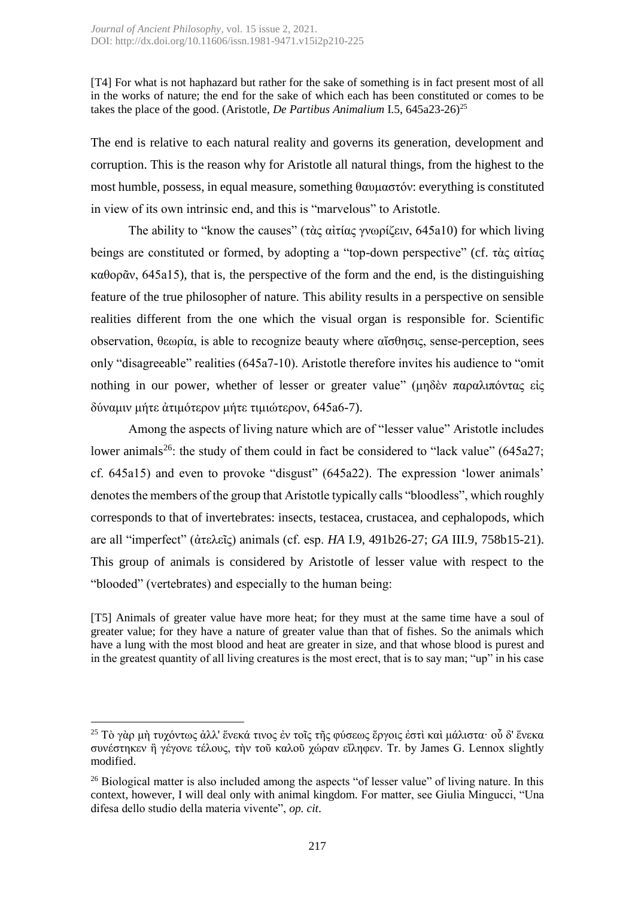[T4] For what is not haphazard but rather for the sake of something is in fact present most of all in the works of nature; the end for the sake of which each has been constituted or comes to be takes the place of the good. (Aristotle, *De Partibus Animalium* I.5, 645a23-26) 25

The end is relative to each natural reality and governs its generation, development and corruption. This is the reason why for Aristotle all natural things, from the highest to the most humble, possess, in equal measure, something θαυμαστόν: everything is constituted in view of its own intrinsic end, and this is "marvelous" to Aristotle.

The ability to "know the causes" (τὰς αἰτίας γνωρίζειν, 645a10) for which living beings are constituted or formed, by adopting a "top-down perspective" (cf. τὰς αἰτίας καθορᾶν, 645a15), that is, the perspective of the form and the end, is the distinguishing feature of the true philosopher of nature. This ability results in a perspective on sensible realities different from the one which the visual organ is responsible for. Scientific observation, θεωρία, is able to recognize beauty where αἴσθησις, sense-perception, sees only "disagreeable" realities (645a7-10). Aristotle therefore invites his audience to "omit nothing in our power, whether of lesser or greater value" (μηδὲν παραλιπόντας εἰς δύναμιν μήτε ἀτιμότερον μήτε τιμιώτερον, 645a6-7).

Among the aspects of living nature which are of "lesser value" Aristotle includes lower animals<sup>26</sup>: the study of them could in fact be considered to "lack value" (645a27; cf. 645a15) and even to provoke "disgust" (645a22). The expression 'lower animals' denotes the members of the group that Aristotle typically calls "bloodless", which roughly corresponds to that of invertebrates: insects, testacea, crustacea, and cephalopods, which are all "imperfect" (ἀτελεῖς) animals (cf. esp. *HA* I.9, 491b26-27; *GA* III.9, 758b15-21). This group of animals is considered by Aristotle of lesser value with respect to the "blooded" (vertebrates) and especially to the human being:

[T5] Animals of greater value have more heat; for they must at the same time have a soul of greater value; for they have a nature of greater value than that of fishes. So the animals which have a lung with the most blood and heat are greater in size, and that whose blood is purest and in the greatest quantity of all living creatures is the most erect, that is to say man; "up" in his case

**.** 

<sup>&</sup>lt;sup>25</sup> Τὸ γὰρ μὴ τυχόντως ἀλλ' ἕνεκά τινος ἐν τοῖς τῆς φύσεως ἔργοις ἐστὶ καὶ μάλιστα· οὗ δ' ἕνεκα συνέστηκεν ἢ γέγονε τέλους, τὴν τοῦ καλοῦ χώραν εἴληφεν. Tr. by James G. Lennox slightly modified.

 $26$  Biological matter is also included among the aspects "of lesser value" of living nature. In this context, however, I will deal only with animal kingdom. For matter, see Giulia Mingucci, "Una difesa dello studio della materia vivente", *op. cit*.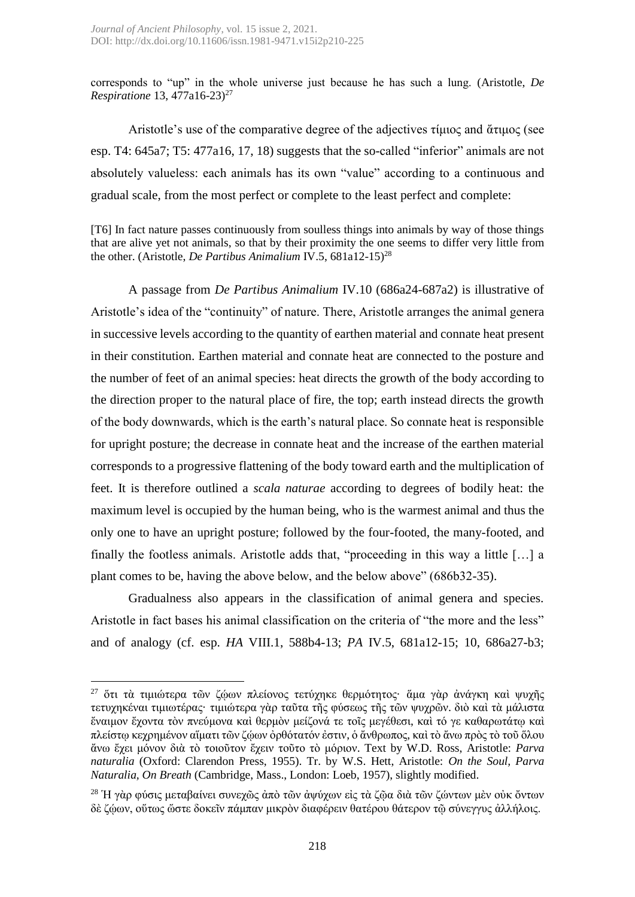corresponds to "up" in the whole universe just because he has such a lung. (Aristotle, *De Respiratione* 13, 477a16-23) 27

Aristotle's use of the comparative degree of the adjectives τίμιος and άτιμος (see esp. T4: 645a7; T5: 477a16, 17, 18) suggests that the so-called "inferior" animals are not absolutely valueless: each animals has its own "value" according to a continuous and gradual scale, from the most perfect or complete to the least perfect and complete:

[T6] In fact nature passes continuously from soulless things into animals by way of those things that are alive yet not animals, so that by their proximity the one seems to differ very little from the other. (Aristotle, *De Partibus Animalium* IV.5, 681a12-15) 28

A passage from *De Partibus Animalium* IV.10 (686a24-687a2) is illustrative of Aristotle's idea of the "continuity" of nature. There, Aristotle arranges the animal genera in successive levels according to the quantity of earthen material and connate heat present in their constitution. Earthen material and connate heat are connected to the posture and the number of feet of an animal species: heat directs the growth of the body according to the direction proper to the natural place of fire, the top; earth instead directs the growth of the body downwards, which is the earth's natural place. So connate heat is responsible for upright posture; the decrease in connate heat and the increase of the earthen material corresponds to a progressive flattening of the body toward earth and the multiplication of feet. It is therefore outlined a *scala naturae* according to degrees of bodily heat: the maximum level is occupied by the human being, who is the warmest animal and thus the only one to have an upright posture; followed by the four-footed, the many-footed, and finally the footless animals. Aristotle adds that, "proceeding in this way a little […] a plant comes to be, having the above below, and the below above" (686b32-35).

Gradualness also appears in the classification of animal genera and species. Aristotle in fact bases his animal classification on the criteria of "the more and the less" and of analogy (cf. esp. *HA* VIII.1, 588b4-13; *PA* IV.5, 681a12-15; 10, 686a27-b3;

 $\overline{a}$ 

<sup>27</sup> ὅτι τὰ τιμιώτερα τῶν ζῴων πλείονος τετύχηκε θερμότητος· ἅμα γὰρ ἀνάγκη καὶ ψυχῆς τετυχηκέναι τιμιωτέρας· τιμιώτερα γὰρ ταῦτα τῆς φύσεως τῆς τῶν ψυχρῶν. διὸ καὶ τὰ μάλιστα ἔναιμον ἔχοντα τὸν πνεύμονα καὶ θερμὸν μείζονά τε τοῖς μεγέθεσι, καὶ τό γε καθαρωτάτῳ καὶ πλείστῳ κεχρημένον αἵματι τῶν ζῴων ὀρθότατόν ἐστιν, ὁ ἄνθρωπος, καὶ τὸ ἄνω πρὸς τὸ τοῦ ὅλου ἄνω ἔχει μόνον διὰ τὸ τοιοῦτον ἔχειν τοῦτο τὸ μόριον. Text by W.D. Ross, Aristotle: *Parva naturalia* (Oxford: Clarendon Press, 1955). Tr. by W.S. Hett, Aristotle: *On the Soul, Parva Naturalia, On Breath* (Cambridge, Mass., London: Loeb, 1957), slightly modified.

<sup>&</sup>lt;sup>28</sup> Ή γὰρ φύσις μεταβαίνει συνεχῶς ἀπὸ τῶν ἀψύχων εἰς τὰ ζῷα διὰ τῶν ζώντων μὲν οὐκ ὄντων δὲ ζῴων, οὕτως ὥστε δοκεῖν πάμπαν μικρὸν διαφέρειν θατέρου θάτερον τῷ σύνεγγυς ἀλλήλοις.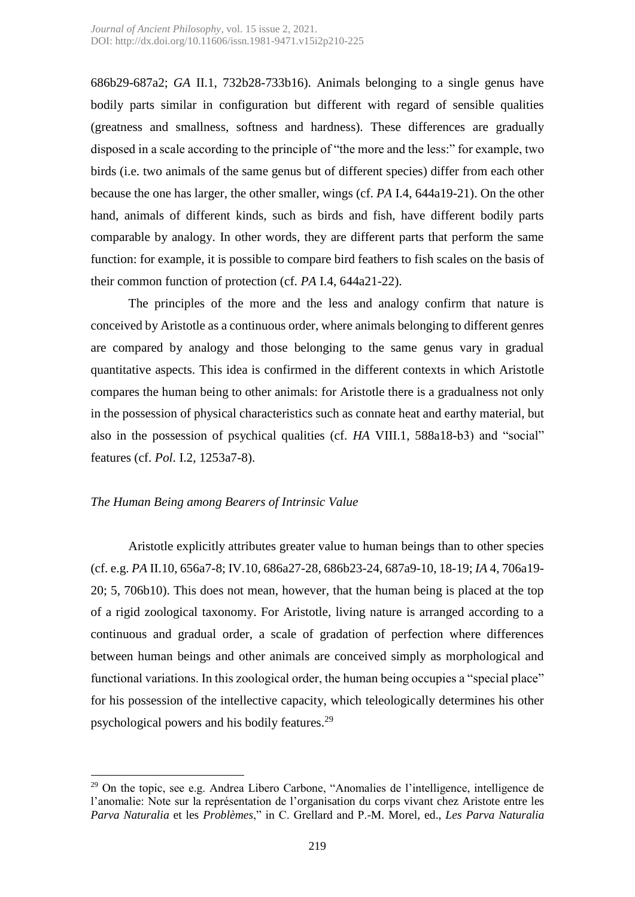686b29-687a2; *GA* II.1, 732b28-733b16). Animals belonging to a single genus have bodily parts similar in configuration but different with regard of sensible qualities (greatness and smallness, softness and hardness). These differences are gradually disposed in a scale according to the principle of "the more and the less:" for example, two birds (i.e. two animals of the same genus but of different species) differ from each other because the one has larger, the other smaller, wings (cf. *PA* I.4, 644a19-21). On the other hand, animals of different kinds, such as birds and fish, have different bodily parts comparable by analogy. In other words, they are different parts that perform the same function: for example, it is possible to compare bird feathers to fish scales on the basis of their common function of protection (cf. *PA* I.4, 644a21-22).

The principles of the more and the less and analogy confirm that nature is conceived by Aristotle as a continuous order, where animals belonging to different genres are compared by analogy and those belonging to the same genus vary in gradual quantitative aspects. This idea is confirmed in the different contexts in which Aristotle compares the human being to other animals: for Aristotle there is a gradualness not only in the possession of physical characteristics such as connate heat and earthy material, but also in the possession of psychical qualities (cf. *HA* VIII.1, 588a18-b3) and "social" features (cf. *Pol*. I.2, 1253a7-8).

# *The Human Being among Bearers of Intrinsic Value*

**.** 

Aristotle explicitly attributes greater value to human beings than to other species (cf. e.g. *PA* II.10, 656a7-8; IV.10, 686a27-28, 686b23-24, 687a9-10, 18-19; *IA* 4, 706a19- 20; 5, 706b10). This does not mean, however, that the human being is placed at the top of a rigid zoological taxonomy. For Aristotle, living nature is arranged according to a continuous and gradual order, a scale of gradation of perfection where differences between human beings and other animals are conceived simply as morphological and functional variations. In this zoological order, the human being occupies a "special place" for his possession of the intellective capacity, which teleologically determines his other psychological powers and his bodily features.<sup>29</sup>

 $29$  On the topic, see e.g. Andrea Libero Carbone, "Anomalies de l'intelligence, intelligence de l'anomalie: Note sur la représentation de l'organisation du corps vivant chez Aristote entre les *Parva Naturalia* et les *Problèmes*," in C. Grellard and P.-M. Morel, ed., *Les Parva Naturalia*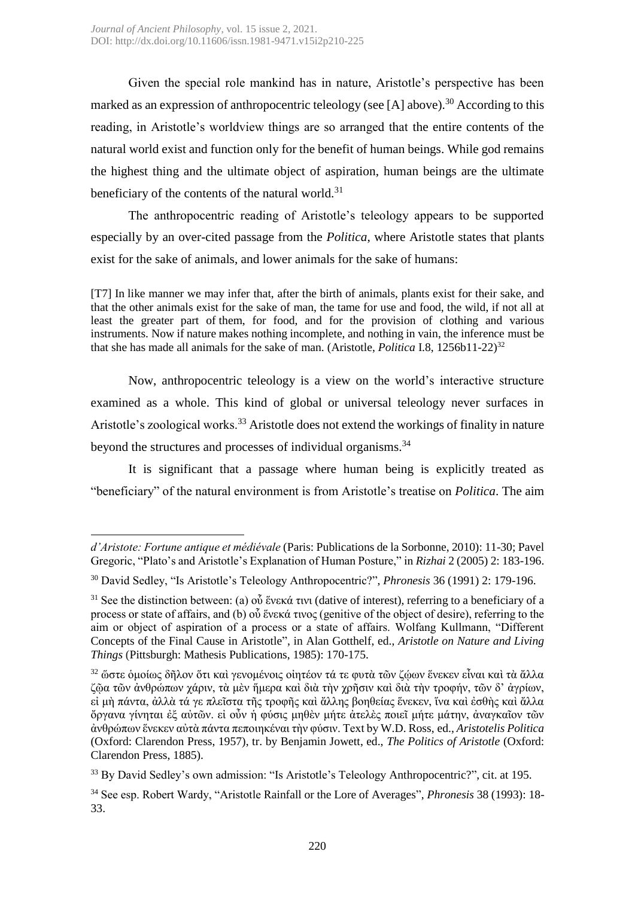Given the special role mankind has in nature, Aristotle's perspective has been marked as an expression of anthropocentric teleology (see [A] above).<sup>30</sup> According to this reading, in Aristotle's worldview things are so arranged that the entire contents of the natural world exist and function only for the benefit of human beings. While god remains the highest thing and the ultimate object of aspiration, human beings are the ultimate beneficiary of the contents of the natural world.<sup>31</sup>

The anthropocentric reading of Aristotle's teleology appears to be supported especially by an over-cited passage from the *Politica*, where Aristotle states that plants exist for the sake of animals, and lower animals for the sake of humans:

[T7] In like manner we may infer that, after the birth of animals, plants exist for their sake, and that the other animals exist for the sake of man, the tame for use and food, the wild, if not all at least the greater part of them, for food, and for the provision of clothing and various instruments. Now if nature makes nothing incomplete, and nothing in vain, the inference must be that she has made all animals for the sake of man. (Aristotle, *Politica* I.8, 1256b11-22) 32

Now, anthropocentric teleology is a view on the world's interactive structure examined as a whole. This kind of global or universal teleology never surfaces in Aristotle's zoological works.<sup>33</sup> Aristotle does not extend the workings of finality in nature beyond the structures and processes of individual organisms.<sup>34</sup>

It is significant that a passage where human being is explicitly treated as "beneficiary" of the natural environment is from Aristotle's treatise on *Politica*. The aim

**<sup>.</sup>** *d'Aristote: Fortune antique et médiévale* (Paris: Publications de la Sorbonne, 2010): 11-30; Pavel Gregoric, "Plato's and Aristotle's Explanation of Human Posture," in *Rizhai* 2 (2005) 2: 183-196.

<sup>30</sup> David Sedley, "Is Aristotle's Teleology Anthropocentric?", *Phronesis* 36 (1991) 2: 179-196.

<sup>&</sup>lt;sup>31</sup> See the distinction between: (a) οὗ ἕνεκά τινι (dative of interest), referring to a beneficiary of a process or state of affairs, and (b) οὗ ἕνεκά τινος (genitive of the object of desire), referring to the aim or object of aspiration of a process or a state of affairs. Wolfang Kullmann, "Different Concepts of the Final Cause in Aristotle", in Alan Gotthelf, ed., *Aristotle on Nature and Living Things* (Pittsburgh: Mathesis Publications, 1985): 170-175.

<sup>&</sup>lt;sup>32</sup> ὥστε ὁμοίως δῆλον ὅτι καὶ γενομένοις οἰητέον τά τε φυτὰ τῶν ζώων ἕνεκεν εἶναι καὶ τὰ ἄλλα ζῷα τῶν ἀνθρώπων χάριν, τὰ μὲν ἥμερα καὶ διὰ τὴν χρῆσιν καὶ διὰ τὴν τροφήν, τῶν δ' ἀγρίων, εἰ μὴ πάντα, ἀλλὰ τά γε πλεῖστα τῆς τροφῆς καὶ ἄλλης βοηθείας ἕνεκεν, ἵνα καὶ ἐσθὴς καὶ ἄλλα ὄργανα γίνηται ἐξ αὐτῶν. εἰ οὖν ἡ φύσις μηθὲν μήτε ἀτελὲς ποιεῖ μήτε μάτην, ἀναγκαῖον τῶν ἀνθρώπων ἕνεκεν αὐτὰ πάντα πεποιηκέναι τὴν φύσιν. Text by W.D. Ross, ed., *Aristotelis Politica* (Oxford: Clarendon Press, 1957), tr. by Benjamin Jowett, ed., *The Politics of Aristotle* (Oxford: Clarendon Press, 1885).

<sup>&</sup>lt;sup>33</sup> By David Sedley's own admission: "Is Aristotle's Teleology Anthropocentric?", cit. at 195.

<sup>34</sup> See esp. Robert Wardy, "Aristotle Rainfall or the Lore of Averages", *Phronesis* 38 (1993): 18- 33.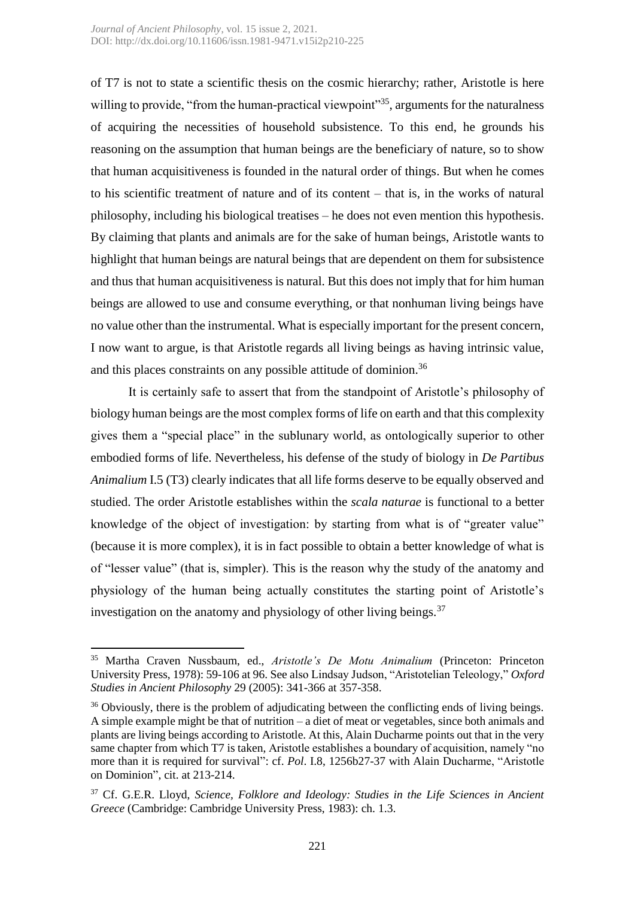of T7 is not to state a scientific thesis on the cosmic hierarchy; rather, Aristotle is here willing to provide, "from the human-practical viewpoint"<sup>35</sup>, arguments for the naturalness of acquiring the necessities of household subsistence. To this end, he grounds his reasoning on the assumption that human beings are the beneficiary of nature, so to show that human acquisitiveness is founded in the natural order of things. But when he comes to his scientific treatment of nature and of its content – that is, in the works of natural philosophy, including his biological treatises – he does not even mention this hypothesis. By claiming that plants and animals are for the sake of human beings, Aristotle wants to highlight that human beings are natural beings that are dependent on them for subsistence and thus that human acquisitiveness is natural. But this does not imply that for him human beings are allowed to use and consume everything, or that nonhuman living beings have no value other than the instrumental. What is especially important for the present concern, I now want to argue, is that Aristotle regards all living beings as having intrinsic value, and this places constraints on any possible attitude of dominion.<sup>36</sup>

It is certainly safe to assert that from the standpoint of Aristotle's philosophy of biology human beings are the most complex forms of life on earth and that this complexity gives them a "special place" in the sublunary world, as ontologically superior to other embodied forms of life. Nevertheless, his defense of the study of biology in *De Partibus Animalium* I.5 (T3) clearly indicates that all life forms deserve to be equally observed and studied. The order Aristotle establishes within the *scala naturae* is functional to a better knowledge of the object of investigation: by starting from what is of "greater value" (because it is more complex), it is in fact possible to obtain a better knowledge of what is of "lesser value" (that is, simpler). This is the reason why the study of the anatomy and physiology of the human being actually constitutes the starting point of Aristotle's investigation on the anatomy and physiology of other living beings.  $37$ 

1

<sup>35</sup> Martha Craven Nussbaum, ed., *Aristotle's De Motu Animalium* (Princeton: Princeton University Press, 1978): 59-106 at 96. See also Lindsay Judson, "Aristotelian Teleology," *Oxford Studies in Ancient Philosophy* 29 (2005): 341-366 at 357-358.

<sup>&</sup>lt;sup>36</sup> Obviously, there is the problem of adjudicating between the conflicting ends of living beings. A simple example might be that of nutrition – a diet of meat or vegetables, since both animals and plants are living beings according to Aristotle. At this, Alain Ducharme points out that in the very same chapter from which T7 is taken, Aristotle establishes a boundary of acquisition, namely "no more than it is required for survival": cf. *Pol*. I.8, 1256b27-37 with Alain Ducharme, "Aristotle on Dominion", cit. at 213-214.

<sup>37</sup> Cf. G.E.R. Lloyd, *Science, Folklore and Ideology: Studies in the Life Sciences in Ancient Greece* (Cambridge: Cambridge University Press, 1983): ch. 1.3.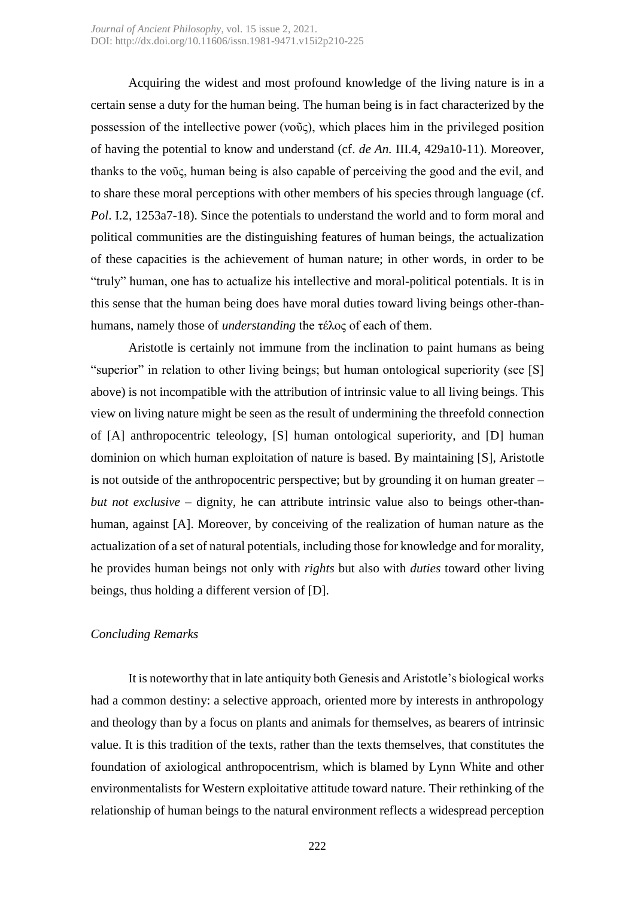Acquiring the widest and most profound knowledge of the living nature is in a certain sense a duty for the human being. The human being is in fact characterized by the possession of the intellective power (νοῦς), which places him in the privileged position of having the potential to know and understand (cf. *de An.* III.4, 429a10-11). Moreover, thanks to the νοῦς, human being is also capable of perceiving the good and the evil, and to share these moral perceptions with other members of his species through language (cf. *Pol*. I.2, 1253a7-18). Since the potentials to understand the world and to form moral and political communities are the distinguishing features of human beings, the actualization of these capacities is the achievement of human nature; in other words, in order to be "truly" human, one has to actualize his intellective and moral-political potentials. It is in this sense that the human being does have moral duties toward living beings other-thanhumans, namely those of *understanding* the τέλος of each of them.

Aristotle is certainly not immune from the inclination to paint humans as being "superior" in relation to other living beings; but human ontological superiority (see [S] above) is not incompatible with the attribution of intrinsic value to all living beings. This view on living nature might be seen as the result of undermining the threefold connection of [A] anthropocentric teleology, [S] human ontological superiority, and [D] human dominion on which human exploitation of nature is based. By maintaining [S], Aristotle is not outside of the anthropocentric perspective; but by grounding it on human greater – *but not exclusive* – dignity, he can attribute intrinsic value also to beings other-thanhuman, against [A]. Moreover, by conceiving of the realization of human nature as the actualization of a set of natural potentials, including those for knowledge and for morality, he provides human beings not only with *rights* but also with *duties* toward other living beings, thus holding a different version of [D].

## *Concluding Remarks*

It is noteworthy that in late antiquity both Genesis and Aristotle's biological works had a common destiny: a selective approach, oriented more by interests in anthropology and theology than by a focus on plants and animals for themselves, as bearers of intrinsic value. It is this tradition of the texts, rather than the texts themselves, that constitutes the foundation of axiological anthropocentrism, which is blamed by Lynn White and other environmentalists for Western exploitative attitude toward nature. Their rethinking of the relationship of human beings to the natural environment reflects a widespread perception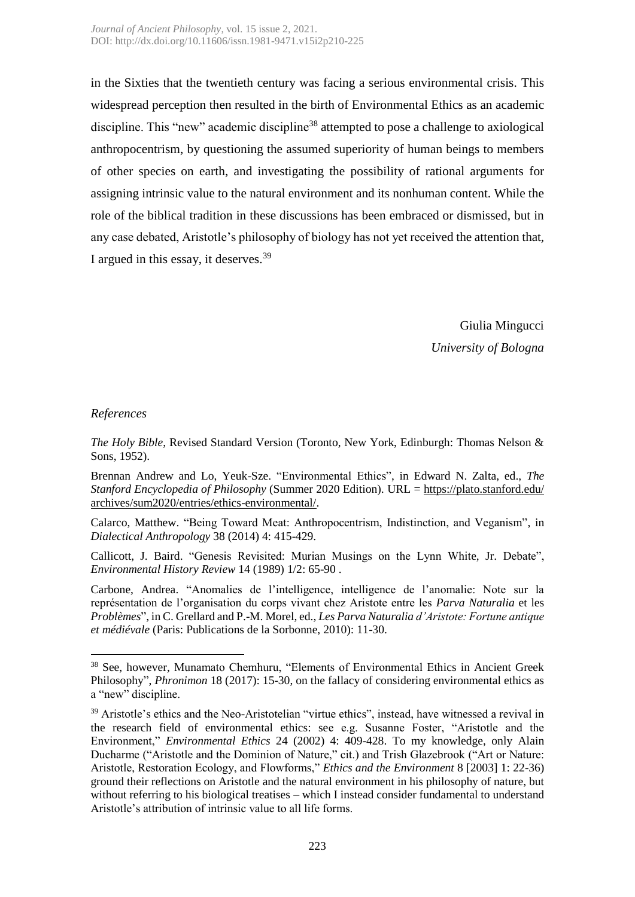in the Sixties that the twentieth century was facing a serious environmental crisis. This widespread perception then resulted in the birth of Environmental Ethics as an academic discipline. This "new" academic discipline<sup>38</sup> attempted to pose a challenge to axiological anthropocentrism, by questioning the assumed superiority of human beings to members of other species on earth, and investigating the possibility of rational arguments for assigning intrinsic value to the natural environment and its nonhuman content. While the role of the biblical tradition in these discussions has been embraced or dismissed, but in any case debated, Aristotle's philosophy of biology has not yet received the attention that, I argued in this essay, it deserves.<sup>39</sup>

> Giulia Mingucci *University of Bologna*

## *References*

1

*The Holy Bible*, Revised Standard Version (Toronto, New York, Edinburgh: Thomas Nelson & Sons, 1952).

Brennan Andrew and Lo, Yeuk-Sze. "Environmental Ethics", in Edward N. Zalta, ed., *The Stanford Encyclopedia of Philosophy* (Summer 2020 Edition). URL = [https://plato.stanford.edu/](https://plato.stanford.edu/%20archives/sum2020/entries/ethics-environmental/)  [archives/sum2020/entries/ethics-environmental/.](https://plato.stanford.edu/%20archives/sum2020/entries/ethics-environmental/)

Calarco, Matthew. "Being Toward Meat: Anthropocentrism, Indistinction, and Veganism", in *Dialectical Anthropology* 38 (2014) 4: 415-429.

Callicott, J. Baird. "Genesis Revisited: Murian Musings on the Lynn White, Jr. Debate", *Environmental History Review* 14 (1989) 1/2: 65-90 .

Carbone, Andrea. "Anomalies de l'intelligence, intelligence de l'anomalie: Note sur la représentation de l'organisation du corps vivant chez Aristote entre les *Parva Naturalia* et les *Problèmes*", in C. Grellard and P.-M. Morel, ed., *Les Parva Naturalia d'Aristote: Fortune antique et médiévale* (Paris: Publications de la Sorbonne, 2010): 11-30.

<sup>38</sup> See, however, Munamato Chemhuru, "Elements of Environmental Ethics in Ancient Greek Philosophy", *Phronimon* 18 (2017): 15-30, on the fallacy of considering environmental ethics as a "new" discipline.

<sup>&</sup>lt;sup>39</sup> Aristotle's ethics and the Neo-Aristotelian "virtue ethics", instead, have witnessed a revival in the research field of environmental ethics: see e.g. Susanne Foster, "Aristotle and the Environment," *Environmental Ethics* 24 (2002) 4: 409-428. To my knowledge, only Alain Ducharme ("Aristotle and the Dominion of Nature," cit.) and Trish Glazebrook ("Art or Nature: Aristotle, Restoration Ecology, and Flowforms," *Ethics and the Environment* 8 [2003] 1: 22-36) ground their reflections on Aristotle and the natural environment in his philosophy of nature, but without referring to his biological treatises – which I instead consider fundamental to understand Aristotle's attribution of intrinsic value to all life forms.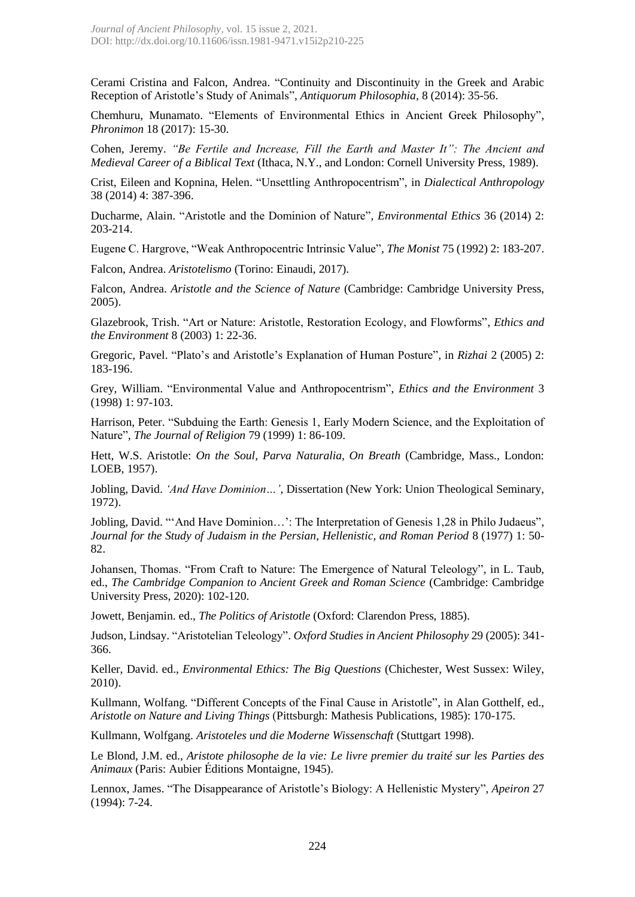Cerami Cristina and Falcon, Andrea. "Continuity and Discontinuity in the Greek and Arabic Reception of Aristotle's Study of Animals", *Antiquorum Philosophia*, 8 (2014): 35-56.

Chemhuru, Munamato. "Elements of Environmental Ethics in Ancient Greek Philosophy", *Phronimon* 18 (2017): 15-30.

Cohen, Jeremy. *"Be Fertile and Increase, Fill the Earth and Master It": The Ancient and Medieval Career of a Biblical Text* (Ithaca, N.Y., and London: Cornell University Press, 1989).

Crist, Eileen and Kopnina, Helen. "Unsettling Anthropocentrism", in *Dialectical Anthropology* 38 (2014) 4: 387-396.

Ducharme, Alain. "Aristotle and the Dominion of Nature", *Environmental Ethics* 36 (2014) 2: 203-214.

Eugene C. Hargrove, "Weak Anthropocentric Intrinsic Value", *The Monist* 75 (1992) 2: 183-207.

Falcon, Andrea. *Aristotelismo* (Torino: Einaudi, 2017).

Falcon, Andrea. *Aristotle and the Science of Nature* (Cambridge: Cambridge University Press, 2005).

Glazebrook, Trish. "Art or Nature: Aristotle, Restoration Ecology, and Flowforms", *Ethics and the Environment* 8 (2003) 1: 22-36.

Gregoric, Pavel. "Plato's and Aristotle's Explanation of Human Posture", in *Rizhai* 2 (2005) 2: 183-196.

Grey, William. "Environmental Value and Anthropocentrism", *Ethics and the Environment* 3 (1998) 1: 97-103.

Harrison, Peter. "Subduing the Earth: Genesis 1, Early Modern Science, and the Exploitation of Nature", *The Journal of Religion* 79 (1999) 1: 86-109.

Hett, W.S. Aristotle: *On the Soul, Parva Naturalia, On Breath* (Cambridge, Mass., London: LOEB, 1957).

Jobling, David. *'And Have Dominion…'*, Dissertation (New York: Union Theological Seminary, 1972).

Jobling, David. "'And Have Dominion…': The Interpretation of Genesis 1,28 in Philo Judaeus", *Journal for the Study of Judaism in the Persian, Hellenistic, and Roman Period* 8 (1977) 1: 50- 82.

Johansen, Thomas. "From Craft to Nature: The Emergence of Natural Teleology", in L. Taub, ed., *The Cambridge Companion to Ancient Greek and Roman Science* (Cambridge: Cambridge University Press, 2020): 102-120.

Jowett, Benjamin. ed., *The Politics of Aristotle* (Oxford: Clarendon Press, 1885).

Judson, Lindsay. "Aristotelian Teleology". *Oxford Studies in Ancient Philosophy* 29 (2005): 341- 366.

Keller, David. ed., *Environmental Ethics: The Big Questions* (Chichester, West Sussex: Wiley, 2010).

Kullmann, Wolfang. "Different Concepts of the Final Cause in Aristotle", in Alan Gotthelf, ed., *Aristotle on Nature and Living Things* (Pittsburgh: Mathesis Publications, 1985): 170-175.

Kullmann, Wolfgang. *Aristoteles und die Moderne Wissenschaft* (Stuttgart 1998).

Le Blond, J.M. ed., *Aristote philosophe de la vie: Le livre premier du traité sur les Parties des Animaux* (Paris: Aubier Éditions Montaigne, 1945).

Lennox, James. "The Disappearance of Aristotle's Biology: A Hellenistic Mystery", *Apeiron* 27 (1994): 7-24.